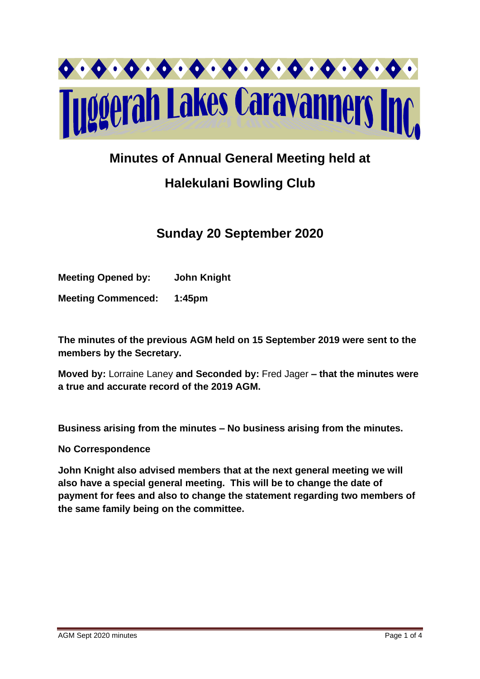

### **Minutes of Annual General Meeting held at**

# **Halekulani Bowling Club**

## **Sunday 20 September 2020**

**Meeting Opened by: John Knight** 

**Meeting Commenced: 1:45pm**

**The minutes of the previous AGM held on 15 September 2019 were sent to the members by the Secretary.**

**Moved by:** Lorraine Laney **and Seconded by:** Fred Jager **– that the minutes were a true and accurate record of the 2019 AGM.**

**Business arising from the minutes – No business arising from the minutes.**

**No Correspondence**

**John Knight also advised members that at the next general meeting we will also have a special general meeting. This will be to change the date of payment for fees and also to change the statement regarding two members of the same family being on the committee.**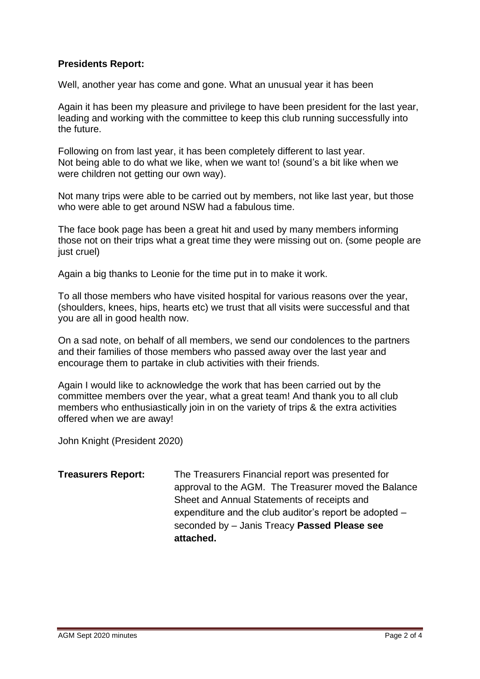#### **Presidents Report:**

Well, another year has come and gone. What an unusual year it has been

Again it has been my pleasure and privilege to have been president for the last year, leading and working with the committee to keep this club running successfully into the future.

Following on from last year, it has been completely different to last year. Not being able to do what we like, when we want to! (sound's a bit like when we were children not getting our own way).

Not many trips were able to be carried out by members, not like last year, but those who were able to get around NSW had a fabulous time.

The face book page has been a great hit and used by many members informing those not on their trips what a great time they were missing out on. (some people are just cruel)

Again a big thanks to Leonie for the time put in to make it work.

To all those members who have visited hospital for various reasons over the year, (shoulders, knees, hips, hearts etc) we trust that all visits were successful and that you are all in good health now.

On a sad note, on behalf of all members, we send our condolences to the partners and their families of those members who passed away over the last year and encourage them to partake in club activities with their friends.

Again I would like to acknowledge the work that has been carried out by the committee members over the year, what a great team! And thank you to all club members who enthusiastically join in on the variety of trips & the extra activities offered when we are away!

John Knight (President 2020)

**Treasurers Report:** The Treasurers Financial report was presented for approval to the AGM. The Treasurer moved the Balance Sheet and Annual Statements of receipts and expenditure and the club auditor's report be adopted – seconded by – Janis Treacy **Passed Please see attached.**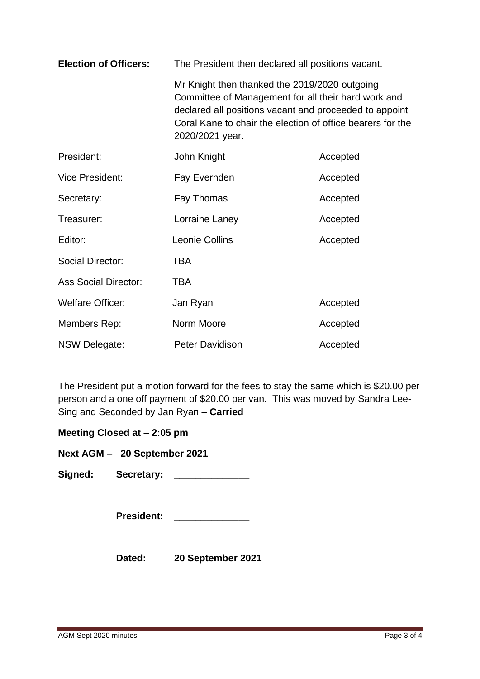| <b>Election of Officers:</b> | The President then declared all positions vacant.                                                                                                                                                                                               |          |  |
|------------------------------|-------------------------------------------------------------------------------------------------------------------------------------------------------------------------------------------------------------------------------------------------|----------|--|
|                              | Mr Knight then thanked the 2019/2020 outgoing<br>Committee of Management for all their hard work and<br>declared all positions vacant and proceeded to appoint<br>Coral Kane to chair the election of office bearers for the<br>2020/2021 year. |          |  |
| President:                   | John Knight                                                                                                                                                                                                                                     | Accepted |  |
| <b>Vice President:</b>       | Fay Evernden                                                                                                                                                                                                                                    | Accepted |  |
| Secretary:                   | Fay Thomas                                                                                                                                                                                                                                      | Accepted |  |
| Treasurer:                   | Lorraine Laney                                                                                                                                                                                                                                  | Accepted |  |
| Editor:                      | Leonie Collins                                                                                                                                                                                                                                  | Accepted |  |
| <b>Social Director:</b>      | <b>TBA</b>                                                                                                                                                                                                                                      |          |  |
| <b>Ass Social Director:</b>  | TBA                                                                                                                                                                                                                                             |          |  |
| <b>Welfare Officer:</b>      | Jan Ryan                                                                                                                                                                                                                                        | Accepted |  |
| Members Rep:                 | Norm Moore                                                                                                                                                                                                                                      | Accepted |  |
| NSW Delegate:                | Peter Davidison                                                                                                                                                                                                                                 | Accepted |  |

The President put a motion forward for the fees to stay the same which is \$20.00 per person and a one off payment of \$20.00 per van. This was moved by Sandra Lee-Sing and Seconded by Jan Ryan – **Carried**

**Meeting Closed at – 2:05 pm**

**Next AGM – 20 September 2021**

**Signed: Secretary: \_\_\_\_\_\_\_\_\_\_\_\_\_\_** 

**President: \_\_\_\_\_\_\_\_\_\_\_\_\_\_**

**Dated: 20 September 2021**